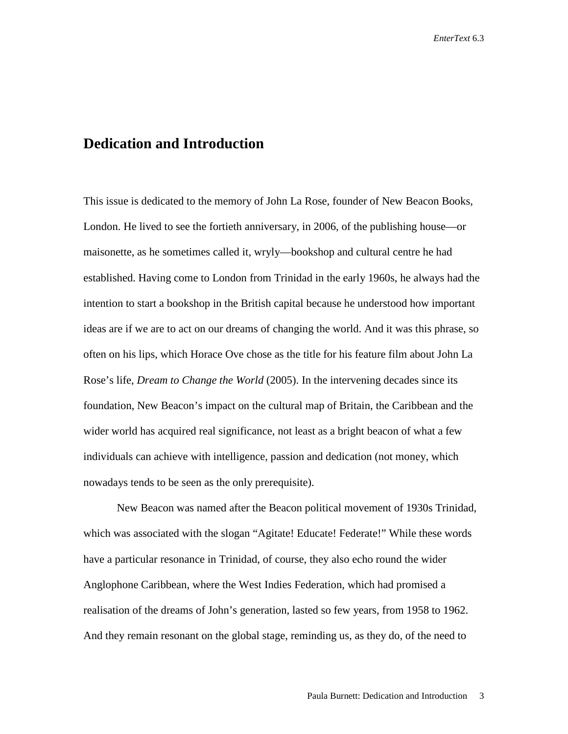## **Dedication and Introduction**

This issue is dedicated to the memory of John La Rose, founder of New Beacon Books, London. He lived to see the fortieth anniversary, in 2006, of the publishing house—or maisonette, as he sometimes called it, wryly—bookshop and cultural centre he had established. Having come to London from Trinidad in the early 1960s, he always had the intention to start a bookshop in the British capital because he understood how important ideas are if we are to act on our dreams of changing the world. And it was this phrase, so often on his lips, which Horace Ove chose as the title for his feature film about John La Rose's life, *Dream to Change the World* (2005). In the intervening decades since its foundation, New Beacon's impact on the cultural map of Britain, the Caribbean and the wider world has acquired real significance, not least as a bright beacon of what a few individuals can achieve with intelligence, passion and dedication (not money, which nowadays tends to be seen as the only prerequisite).

New Beacon was named after the Beacon political movement of 1930s Trinidad, which was associated with the slogan "Agitate! Educate! Federate!" While these words have a particular resonance in Trinidad, of course, they also echo round the wider Anglophone Caribbean, where the West Indies Federation, which had promised a realisation of the dreams of John's generation, lasted so few years, from 1958 to 1962. And they remain resonant on the global stage, reminding us, as they do, of the need to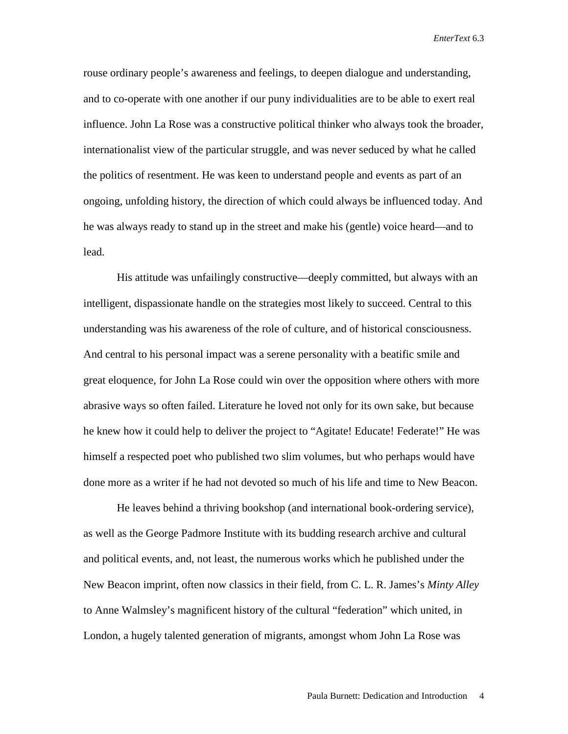rouse ordinary people's awareness and feelings, to deepen dialogue and understanding, and to co-operate with one another if our puny individualities are to be able to exert real influence. John La Rose was a constructive political thinker who always took the broader, internationalist view of the particular struggle, and was never seduced by what he called the politics of resentment. He was keen to understand people and events as part of an ongoing, unfolding history, the direction of which could always be influenced today. And he was always ready to stand up in the street and make his (gentle) voice heard—and to lead.

His attitude was unfailingly constructive—deeply committed, but always with an intelligent, dispassionate handle on the strategies most likely to succeed. Central to this understanding was his awareness of the role of culture, and of historical consciousness. And central to his personal impact was a serene personality with a beatific smile and great eloquence, for John La Rose could win over the opposition where others with more abrasive ways so often failed. Literature he loved not only for its own sake, but because he knew how it could help to deliver the project to "Agitate! Educate! Federate!" He was himself a respected poet who published two slim volumes, but who perhaps would have done more as a writer if he had not devoted so much of his life and time to New Beacon.

He leaves behind a thriving bookshop (and international book-ordering service), as well as the George Padmore Institute with its budding research archive and cultural and political events, and, not least, the numerous works which he published under the New Beacon imprint, often now classics in their field, from C. L. R. James's *Minty Alley*  to Anne Walmsley's magnificent history of the cultural "federation" which united, in London, a hugely talented generation of migrants, amongst whom John La Rose was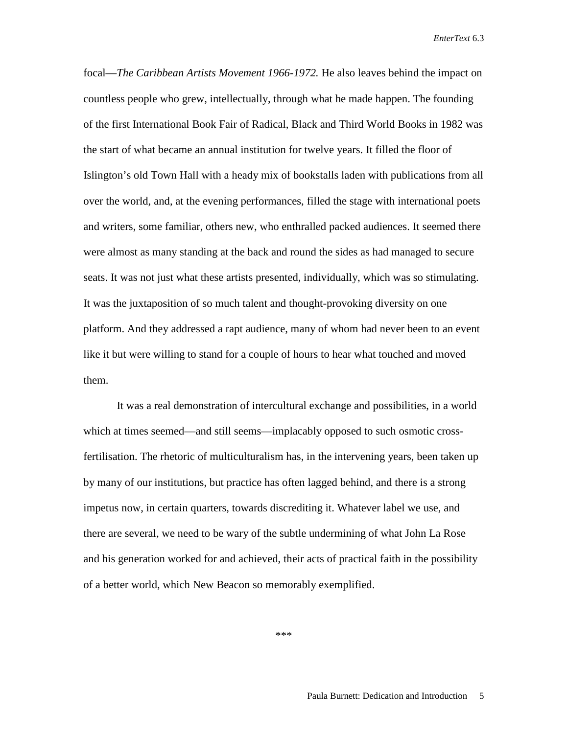focal—*The Caribbean Artists Movement 1966-1972.* He also leaves behind the impact on countless people who grew, intellectually, through what he made happen. The founding of the first International Book Fair of Radical, Black and Third World Books in 1982 was the start of what became an annual institution for twelve years. It filled the floor of Islington's old Town Hall with a heady mix of bookstalls laden with publications from all over the world, and, at the evening performances, filled the stage with international poets and writers, some familiar, others new, who enthralled packed audiences. It seemed there were almost as many standing at the back and round the sides as had managed to secure seats. It was not just what these artists presented, individually, which was so stimulating. It was the juxtaposition of so much talent and thought-provoking diversity on one platform. And they addressed a rapt audience, many of whom had never been to an event like it but were willing to stand for a couple of hours to hear what touched and moved them.

It was a real demonstration of intercultural exchange and possibilities, in a world which at times seemed—and still seems—implacably opposed to such osmotic crossfertilisation. The rhetoric of multiculturalism has, in the intervening years, been taken up by many of our institutions, but practice has often lagged behind, and there is a strong impetus now, in certain quarters, towards discrediting it. Whatever label we use, and there are several, we need to be wary of the subtle undermining of what John La Rose and his generation worked for and achieved, their acts of practical faith in the possibility of a better world, which New Beacon so memorably exemplified.

\*\*\*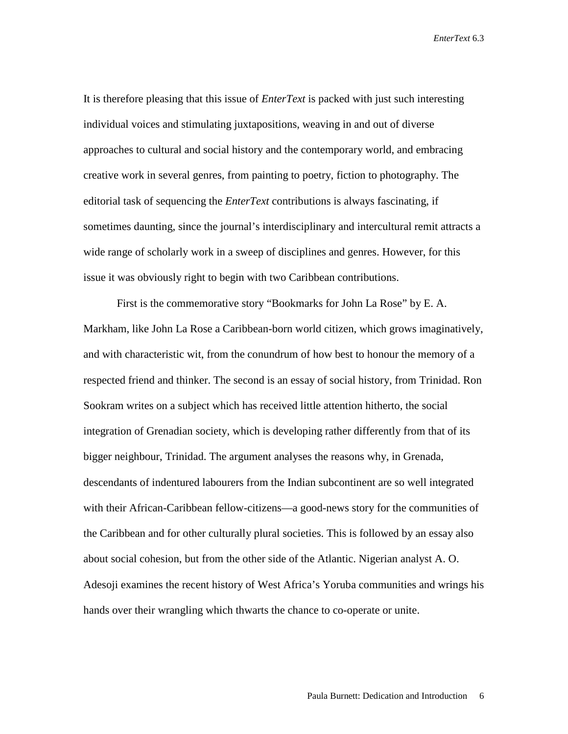It is therefore pleasing that this issue of *EnterText* is packed with just such interesting individual voices and stimulating juxtapositions, weaving in and out of diverse approaches to cultural and social history and the contemporary world, and embracing creative work in several genres, from painting to poetry, fiction to photography. The editorial task of sequencing the *EnterText* contributions is always fascinating, if sometimes daunting, since the journal's interdisciplinary and intercultural remit attracts a wide range of scholarly work in a sweep of disciplines and genres. However, for this issue it was obviously right to begin with two Caribbean contributions.

First is the commemorative story "Bookmarks for John La Rose" by E. A. Markham, like John La Rose a Caribbean-born world citizen, which grows imaginatively, and with characteristic wit, from the conundrum of how best to honour the memory of a respected friend and thinker. The second is an essay of social history, from Trinidad. Ron Sookram writes on a subject which has received little attention hitherto, the social integration of Grenadian society, which is developing rather differently from that of its bigger neighbour, Trinidad. The argument analyses the reasons why, in Grenada, descendants of indentured labourers from the Indian subcontinent are so well integrated with their African-Caribbean fellow-citizens—a good-news story for the communities of the Caribbean and for other culturally plural societies. This is followed by an essay also about social cohesion, but from the other side of the Atlantic. Nigerian analyst A. O. Adesoji examines the recent history of West Africa's Yoruba communities and wrings his hands over their wrangling which thwarts the chance to co-operate or unite.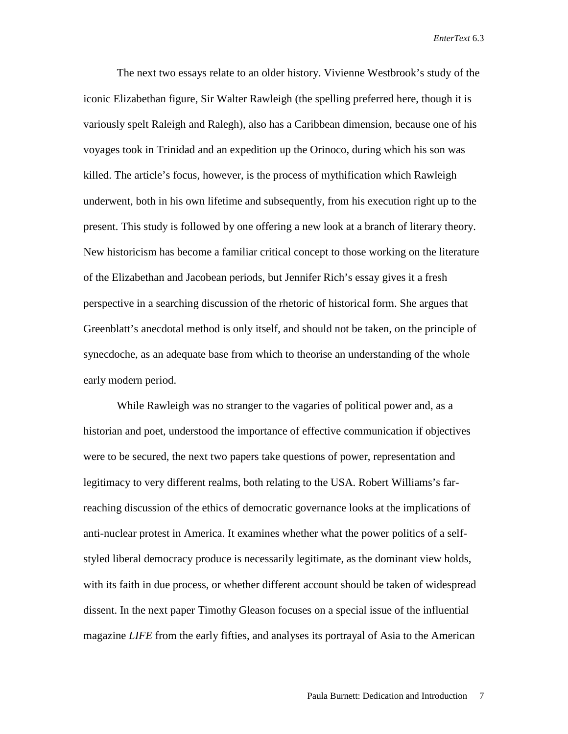The next two essays relate to an older history. Vivienne Westbrook's study of the iconic Elizabethan figure, Sir Walter Rawleigh (the spelling preferred here, though it is variously spelt Raleigh and Ralegh), also has a Caribbean dimension, because one of his voyages took in Trinidad and an expedition up the Orinoco, during which his son was killed. The article's focus, however, is the process of mythification which Rawleigh underwent, both in his own lifetime and subsequently, from his execution right up to the present. This study is followed by one offering a new look at a branch of literary theory. New historicism has become a familiar critical concept to those working on the literature of the Elizabethan and Jacobean periods, but Jennifer Rich's essay gives it a fresh perspective in a searching discussion of the rhetoric of historical form. She argues that Greenblatt's anecdotal method is only itself, and should not be taken, on the principle of synecdoche, as an adequate base from which to theorise an understanding of the whole early modern period.

While Rawleigh was no stranger to the vagaries of political power and, as a historian and poet, understood the importance of effective communication if objectives were to be secured, the next two papers take questions of power, representation and legitimacy to very different realms, both relating to the USA. Robert Williams's farreaching discussion of the ethics of democratic governance looks at the implications of anti-nuclear protest in America. It examines whether what the power politics of a selfstyled liberal democracy produce is necessarily legitimate, as the dominant view holds, with its faith in due process, or whether different account should be taken of widespread dissent. In the next paper Timothy Gleason focuses on a special issue of the influential magazine *LIFE* from the early fifties, and analyses its portrayal of Asia to the American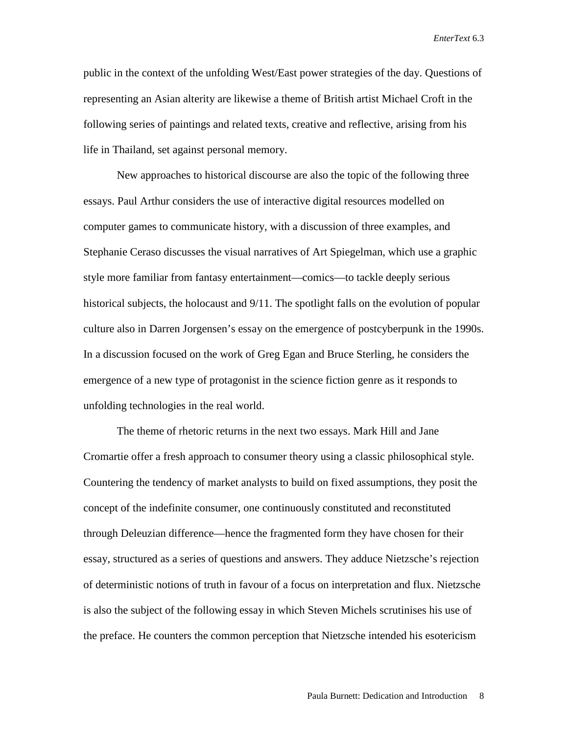public in the context of the unfolding West/East power strategies of the day. Questions of representing an Asian alterity are likewise a theme of British artist Michael Croft in the following series of paintings and related texts, creative and reflective, arising from his life in Thailand, set against personal memory.

New approaches to historical discourse are also the topic of the following three essays. Paul Arthur considers the use of interactive digital resources modelled on computer games to communicate history, with a discussion of three examples, and Stephanie Ceraso discusses the visual narratives of Art Spiegelman, which use a graphic style more familiar from fantasy entertainment—comics—to tackle deeply serious historical subjects, the holocaust and  $9/11$ . The spotlight falls on the evolution of popular culture also in Darren Jorgensen's essay on the emergence of postcyberpunk in the 1990s. In a discussion focused on the work of Greg Egan and Bruce Sterling, he considers the emergence of a new type of protagonist in the science fiction genre as it responds to unfolding technologies in the real world.

The theme of rhetoric returns in the next two essays. Mark Hill and Jane Cromartie offer a fresh approach to consumer theory using a classic philosophical style. Countering the tendency of market analysts to build on fixed assumptions, they posit the concept of the indefinite consumer, one continuously constituted and reconstituted through Deleuzian difference—hence the fragmented form they have chosen for their essay, structured as a series of questions and answers. They adduce Nietzsche's rejection of deterministic notions of truth in favour of a focus on interpretation and flux. Nietzsche is also the subject of the following essay in which Steven Michels scrutinises his use of the preface. He counters the common perception that Nietzsche intended his esotericism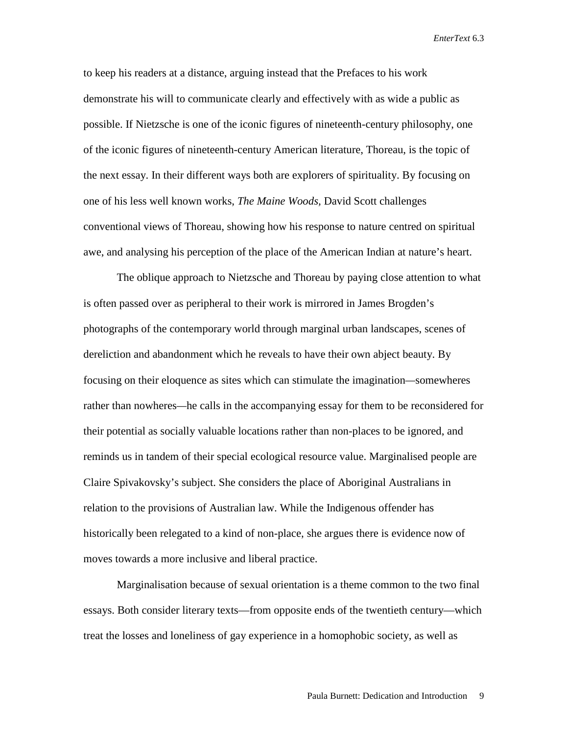to keep his readers at a distance, arguing instead that the Prefaces to his work demonstrate his will to communicate clearly and effectively with as wide a public as possible. If Nietzsche is one of the iconic figures of nineteenth-century philosophy, one of the iconic figures of nineteenth-century American literature, Thoreau, is the topic of the next essay. In their different ways both are explorers of spirituality. By focusing on one of his less well known works, *The Maine Woods,* David Scott challenges conventional views of Thoreau, showing how his response to nature centred on spiritual awe, and analysing his perception of the place of the American Indian at nature's heart.

The oblique approach to Nietzsche and Thoreau by paying close attention to what is often passed over as peripheral to their work is mirrored in James Brogden's photographs of the contemporary world through marginal urban landscapes, scenes of dereliction and abandonment which he reveals to have their own abject beauty. By focusing on their eloquence as sites which can stimulate the imagination*—*somewheres rather than nowheres*—*he calls in the accompanying essay for them to be reconsidered for their potential as socially valuable locations rather than non-places to be ignored, and reminds us in tandem of their special ecological resource value. Marginalised people are Claire Spivakovsky's subject. She considers the place of Aboriginal Australians in relation to the provisions of Australian law. While the Indigenous offender has historically been relegated to a kind of non-place, she argues there is evidence now of moves towards a more inclusive and liberal practice.

Marginalisation because of sexual orientation is a theme common to the two final essays. Both consider literary texts—from opposite ends of the twentieth century—which treat the losses and loneliness of gay experience in a homophobic society, as well as